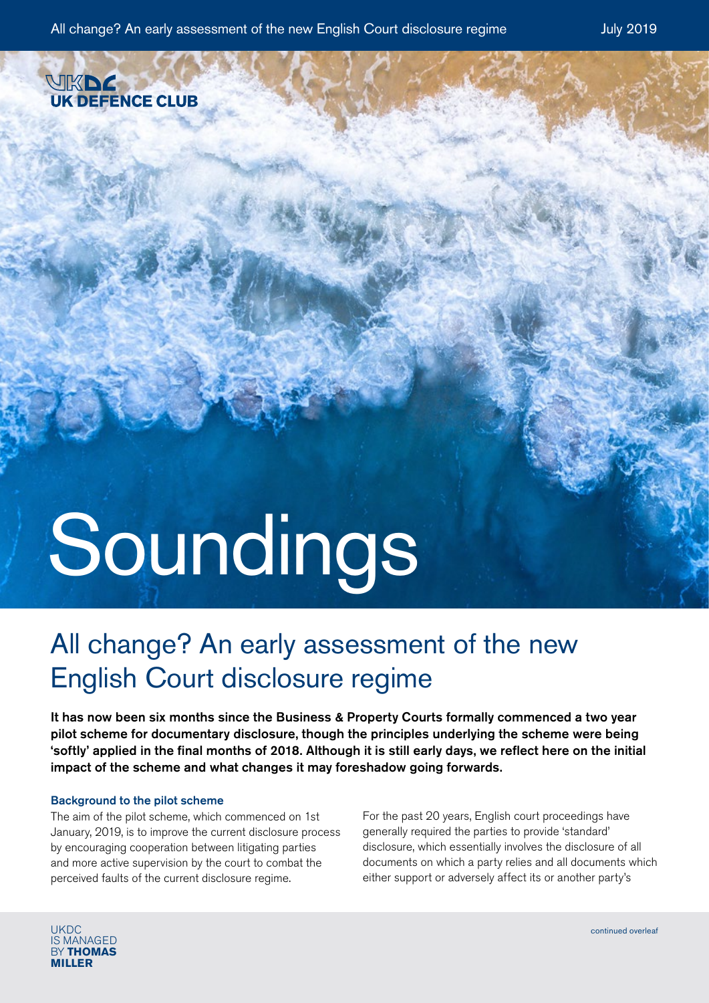

# Soundings

## All change? An early assessment of the new English Court disclosure regime

It has now been six months since the Business & Property Courts formally commenced a two year pilot scheme for documentary disclosure, though the principles underlying the scheme were being 'softly' applied in the final months of 2018. Although it is still early days, we reflect here on the initial impact of the scheme and what changes it may foreshadow going forwards.

### Background to the pilot scheme

The aim of the pilot scheme, which commenced on 1st January, 2019, is to improve the current disclosure process by encouraging cooperation between litigating parties and more active supervision by the court to combat the perceived faults of the current disclosure regime.

For the past 20 years, English court proceedings have generally required the parties to provide 'standard' disclosure, which essentially involves the disclosure of all documents on which a party relies and all documents which either support or adversely affect its or another party's